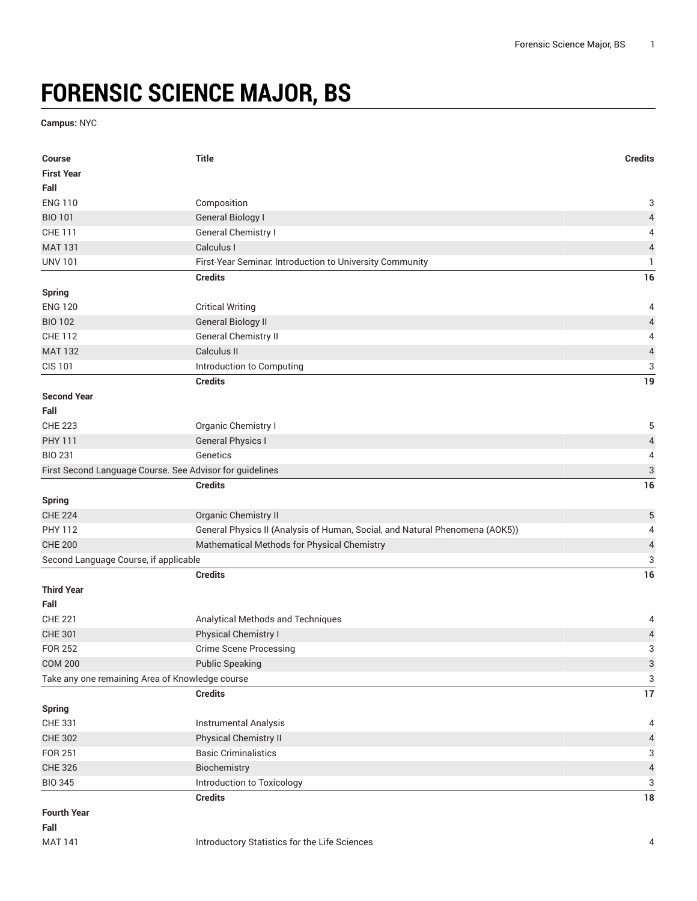## **FORENSIC SCIENCE MAJOR, BS**

**Campus:** NYC

| <b>Course</b>                                                     | <b>Title</b>                                                                 | <b>Credits</b>            |
|-------------------------------------------------------------------|------------------------------------------------------------------------------|---------------------------|
| <b>First Year</b>                                                 |                                                                              |                           |
| Fall                                                              |                                                                              |                           |
| <b>ENG 110</b>                                                    | Composition                                                                  | 3                         |
| <b>BIO 101</b>                                                    | <b>General Biology I</b>                                                     | $\overline{\mathcal{L}}$  |
| CHE 111                                                           | General Chemistry I                                                          | 4                         |
| <b>MAT 131</b>                                                    | Calculus I                                                                   | $\sqrt{4}$                |
| <b>UNV 101</b>                                                    | First-Year Seminar. Introduction to University Community                     | 1                         |
|                                                                   | <b>Credits</b>                                                               | 16                        |
| <b>Spring</b>                                                     |                                                                              |                           |
| <b>ENG 120</b>                                                    | <b>Critical Writing</b>                                                      | 4                         |
| <b>BIO 102</b>                                                    | <b>General Biology II</b>                                                    | $\overline{4}$            |
| <b>CHE 112</b>                                                    | General Chemistry II                                                         | 4                         |
| <b>MAT 132</b>                                                    | Calculus II                                                                  | $\sqrt{4}$                |
| <b>CIS 101</b>                                                    | Introduction to Computing                                                    | 3                         |
|                                                                   | <b>Credits</b>                                                               | 19                        |
| <b>Second Year</b>                                                |                                                                              |                           |
| Fall                                                              |                                                                              |                           |
| <b>CHE 223</b>                                                    | Organic Chemistry I                                                          | 5                         |
| <b>PHY 111</b>                                                    | <b>General Physics I</b>                                                     | $\overline{\mathcal{L}}$  |
| <b>BIO 231</b>                                                    | Genetics                                                                     | 4                         |
| First Second Language Course. See Advisor for guidelines          |                                                                              | $\ensuremath{\mathsf{3}}$ |
|                                                                   | <b>Credits</b>                                                               | 16                        |
| <b>Spring</b>                                                     |                                                                              |                           |
| <b>CHE 224</b>                                                    | Organic Chemistry II                                                         | $\mathbf 5$               |
| <b>PHY 112</b>                                                    | General Physics II (Analysis of Human, Social, and Natural Phenomena (AOK5)) | 4                         |
| <b>CHE 200</b>                                                    | Mathematical Methods for Physical Chemistry                                  | $\overline{\mathcal{L}}$  |
| Second Language Course, if applicable                             |                                                                              | 3                         |
|                                                                   | <b>Credits</b>                                                               | 16                        |
| <b>Third Year</b>                                                 |                                                                              |                           |
| Fall                                                              |                                                                              |                           |
| <b>CHE 221</b>                                                    | Analytical Methods and Techniques                                            | 4                         |
| <b>CHE 301</b>                                                    | Physical Chemistry I                                                         | $\overline{a}$            |
| <b>FOR 252</b>                                                    | <b>Crime Scene Processing</b>                                                | 3                         |
| <b>COM 200</b><br>Take any one remaining Area of Knowledge course | <b>Public Speaking</b>                                                       | $\ensuremath{\mathsf{3}}$ |
|                                                                   | <b>Credits</b>                                                               | 3<br>17                   |
|                                                                   |                                                                              |                           |
| <b>Spring</b><br>CHE 331                                          | Instrumental Analysis                                                        | 4                         |
|                                                                   | Physical Chemistry II                                                        |                           |
| <b>CHE 302</b><br>FOR 251                                         | <b>Basic Criminalistics</b>                                                  | $\overline{4}$<br>3       |
| <b>CHE 326</b>                                                    | Biochemistry                                                                 | $\sqrt{4}$                |
| <b>BIO 345</b>                                                    | Introduction to Toxicology                                                   | 3                         |
|                                                                   | <b>Credits</b>                                                               | 18                        |
| <b>Fourth Year</b>                                                |                                                                              |                           |
| Fall                                                              |                                                                              |                           |
| <b>MAT 141</b>                                                    | Introductory Statistics for the Life Sciences                                | 4                         |
|                                                                   |                                                                              |                           |